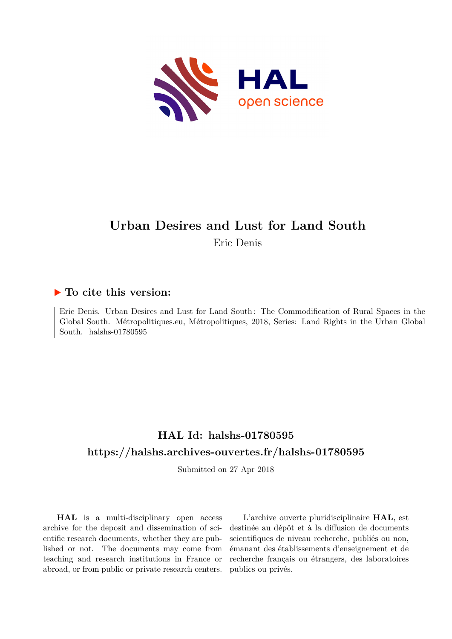

# **Urban Desires and Lust for Land South**

Eric Denis

## **To cite this version:**

Eric Denis. Urban Desires and Lust for Land South : The Commodification of Rural Spaces in the Global South. Métropolitiques.eu, Métropolitiques, 2018, Series: Land Rights in the Urban Global South. halshs-01780595

# **HAL Id: halshs-01780595 <https://halshs.archives-ouvertes.fr/halshs-01780595>**

Submitted on 27 Apr 2018

**HAL** is a multi-disciplinary open access archive for the deposit and dissemination of scientific research documents, whether they are published or not. The documents may come from teaching and research institutions in France or abroad, or from public or private research centers.

L'archive ouverte pluridisciplinaire **HAL**, est destinée au dépôt et à la diffusion de documents scientifiques de niveau recherche, publiés ou non, émanant des établissements d'enseignement et de recherche français ou étrangers, des laboratoires publics ou privés.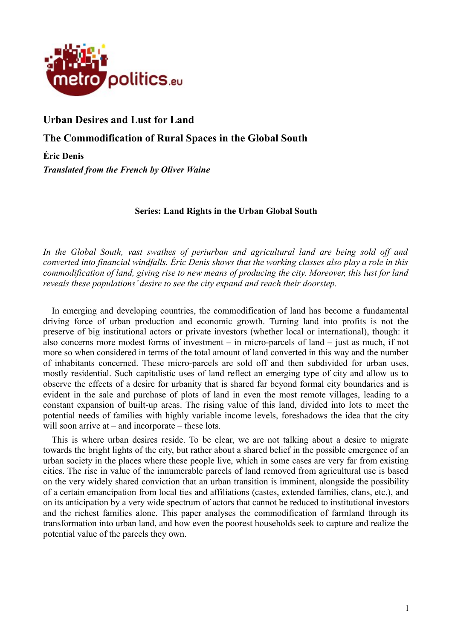

# **Urban Desires and Lust for Land**

**The Commodification of Rural Spaces in the Global South**

**Éric Denis** *Translated from the French by Oliver Waine*

#### **Series: Land Rights in the Urban Global South**

*In the Global South, vast swathes of periurban and agricultural land are being sold off and converted into financial windfalls. Éric Denis shows that the working classes also play a role in this commodification of land, giving rise to new means of producing the city. Moreover, this lust for land reveals these populations' desire to see the city expand and reach their doorstep.*

In emerging and developing countries, the commodification of land has become a fundamental driving force of urban production and economic growth. Turning land into profits is not the preserve of big institutional actors or private investors (whether local or international), though: it also concerns more modest forms of investment – in micro-parcels of land – just as much, if not more so when considered in terms of the total amount of land converted in this way and the number of inhabitants concerned. These micro-parcels are sold off and then subdivided for urban uses, mostly residential. Such capitalistic uses of land reflect an emerging type of city and allow us to observe the effects of a desire for urbanity that is shared far beyond formal city boundaries and is evident in the sale and purchase of plots of land in even the most remote villages, leading to a constant expansion of built-up areas. The rising value of this land, divided into lots to meet the potential needs of families with highly variable income levels, foreshadows the idea that the city will soon arrive at – and incorporate – these lots.

This is where urban desires reside. To be clear, we are not talking about a desire to migrate towards the bright lights of the city, but rather about a shared belief in the possible emergence of an urban society in the places where these people live, which in some cases are very far from existing cities. The rise in value of the innumerable parcels of land removed from agricultural use is based on the very widely shared conviction that an urban transition is imminent, alongside the possibility of a certain emancipation from local ties and affiliations (castes, extended families, clans, etc.), and on its anticipation by a very wide spectrum of actors that cannot be reduced to institutional investors and the richest families alone. This paper analyses the commodification of farmland through its transformation into urban land, and how even the poorest households seek to capture and realize the potential value of the parcels they own.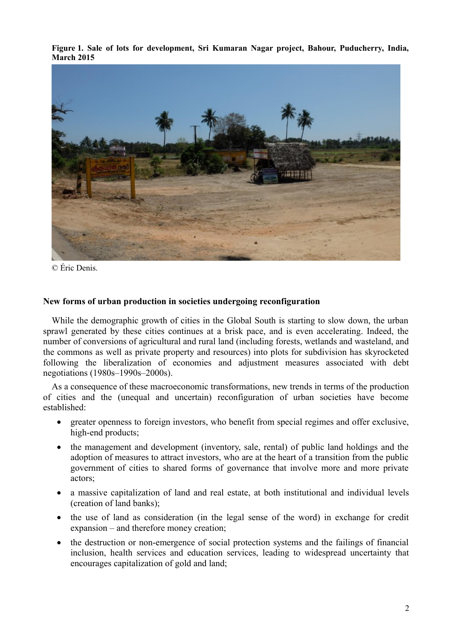**Figure 1. Sale of lots for development, Sri Kumaran Nagar project, Bahour, Puducherry, India, March 2015**



© Éric Denis.

#### **New forms of urban production in societies undergoing reconfiguration**

While the demographic growth of cities in the Global South is starting to slow down, the urban sprawl generated by these cities continues at a brisk pace, and is even accelerating. Indeed, the number of conversions of agricultural and rural land (including forests, wetlands and wasteland, and the commons as well as private property and resources) into plots for subdivision has skyrocketed following the liberalization of economies and adjustment measures associated with debt negotiations (1980s–1990s–2000s).

As a consequence of these macroeconomic transformations, new trends in terms of the production of cities and the (unequal and uncertain) reconfiguration of urban societies have become established:

- greater openness to foreign investors, who benefit from special regimes and offer exclusive, high-end products;
- the management and development (inventory, sale, rental) of public land holdings and the adoption of measures to attract investors, who are at the heart of a transition from the public government of cities to shared forms of governance that involve more and more private actors;
- a massive capitalization of land and real estate, at both institutional and individual levels (creation of land banks);
- the use of land as consideration (in the legal sense of the word) in exchange for credit expansion – and therefore money creation;
- the destruction or non-emergence of social protection systems and the failings of financial inclusion, health services and education services, leading to widespread uncertainty that encourages capitalization of gold and land;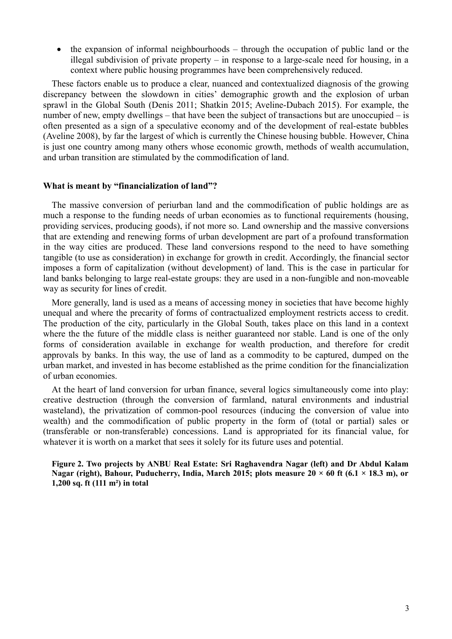• the expansion of informal neighbourhoods – through the occupation of public land or the illegal subdivision of private property – in response to a large-scale need for housing, in a context where public housing programmes have been comprehensively reduced.

These factors enable us to produce a clear, nuanced and contextualized diagnosis of the growing discrepancy between the slowdown in cities' demographic growth and the explosion of urban sprawl in the Global South (Denis 2011; Shatkin 2015; Aveline-Dubach 2015). For example, the number of new, empty dwellings – that have been the subject of transactions but are unoccupied – is often presented as a sign of a speculative economy and of the development of real-estate bubbles (Aveline 2008), by far the largest of which is currently the Chinese housing bubble. However, China is just one country among many others whose economic growth, methods of wealth accumulation, and urban transition are stimulated by the commodification of land.

#### **What is meant by "financialization of land"?**

The massive conversion of periurban land and the commodification of public holdings are as much a response to the funding needs of urban economies as to functional requirements (housing, providing services, producing goods), if not more so. Land ownership and the massive conversions that are extending and renewing forms of urban development are part of a profound transformation in the way cities are produced. These land conversions respond to the need to have something tangible (to use as consideration) in exchange for growth in credit. Accordingly, the financial sector imposes a form of capitalization (without development) of land. This is the case in particular for land banks belonging to large real-estate groups: they are used in a non-fungible and non-moveable way as security for lines of credit.

More generally, land is used as a means of accessing money in societies that have become highly unequal and where the precarity of forms of contractualized employment restricts access to credit. The production of the city, particularly in the Global South, takes place on this land in a context where the the future of the middle class is neither guaranteed nor stable. Land is one of the only forms of consideration available in exchange for wealth production, and therefore for credit approvals by banks. In this way, the use of land as a commodity to be captured, dumped on the urban market, and invested in has become established as the prime condition for the financialization of urban economies.

At the heart of land conversion for urban finance, several logics simultaneously come into play: creative destruction (through the conversion of farmland, natural environments and industrial wasteland), the privatization of common-pool resources (inducing the conversion of value into wealth) and the commodification of public property in the form of (total or partial) sales or (transferable or non-transferable) concessions. Land is appropriated for its financial value, for whatever it is worth on a market that sees it solely for its future uses and potential.

**Figure 2. Two projects by ANBU Real Estate: Sri Raghavendra Nagar (left) and Dr Abdul Kalam Nagar (right), Bahour, Puducherry, India, March 2015; plots measure 20 × 60 ft (6.1 × 18.3 m), or 1,200 sq. ft (111 m²) in total**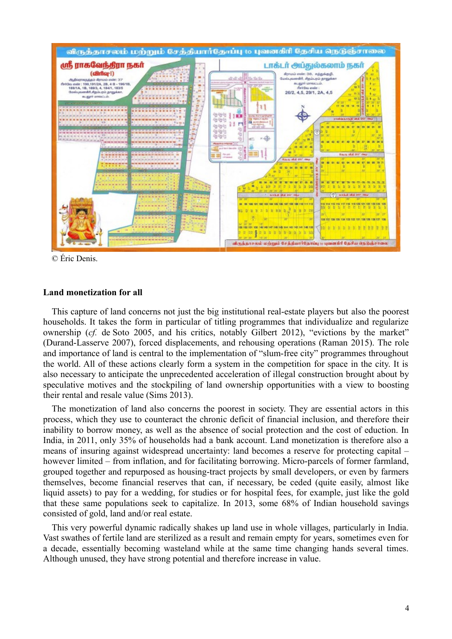

© Éric Denis.

#### **Land monetization for all**

This capture of land concerns not just the big institutional real-estate players but also the poorest households. It takes the form in particular of titling programmes that individualize and regularize ownership (*cf.* de Soto 2005, and his critics, notably Gilbert 2012), "evictions by the market" (Durand-Lasserve 2007), forced displacements, and rehousing operations (Raman 2015). The role and importance of land is central to the implementation of "slum-free city" programmes throughout the world. All of these actions clearly form a system in the competition for space in the city. It is also necessary to anticipate the unprecedented acceleration of illegal construction brought about by speculative motives and the stockpiling of land ownership opportunities with a view to boosting their rental and resale value (Sims 2013).

The monetization of land also concerns the poorest in society. They are essential actors in this process, which they use to counteract the chronic deficit of financial inclusion, and therefore their inability to borrow money, as well as the absence of social protection and the cost of eduction. In India, in 2011, only 35% of households had a bank account. Land monetization is therefore also a means of insuring against widespread uncertainty: land becomes a reserve for protecting capital – however limited – from inflation, and for facilitating borrowing. Micro-parcels of former farmland, grouped together and repurposed as housing-tract projects by small developers, or even by farmers themselves, become financial reserves that can, if necessary, be ceded (quite easily, almost like liquid assets) to pay for a wedding, for studies or for hospital fees, for example, just like the gold that these same populations seek to capitalize. In 2013, some 68% of Indian household savings consisted of gold, land and/or real estate.

This very powerful dynamic radically shakes up land use in whole villages, particularly in India. Vast swathes of fertile land are sterilized as a result and remain empty for years, sometimes even for a decade, essentially becoming wasteland while at the same time changing hands several times. Although unused, they have strong potential and therefore increase in value.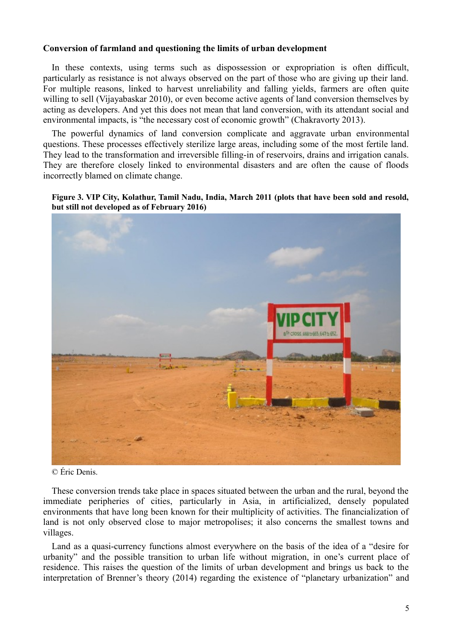#### **Conversion of farmland and questioning the limits of urban development**

In these contexts, using terms such as dispossession or expropriation is often difficult, particularly as resistance is not always observed on the part of those who are giving up their land. For multiple reasons, linked to harvest unreliability and falling yields, farmers are often quite willing to sell (Vijayabaskar 2010), or even become active agents of land conversion themselves by acting as developers. And yet this does not mean that land conversion, with its attendant social and environmental impacts, is "the necessary cost of economic growth" (Chakravorty 2013).

The powerful dynamics of land conversion complicate and aggravate urban environmental questions. These processes effectively sterilize large areas, including some of the most fertile land. They lead to the transformation and irreversible filling-in of reservoirs, drains and irrigation canals. They are therefore closely linked to environmental disasters and are often the cause of floods incorrectly blamed on climate change.

#### **Figure 3. VIP City, Kolathur, Tamil Nadu, India, March 2011 (plots that have been sold and resold, but still not developed as of February 2016)**



© Éric Denis.

These conversion trends take place in spaces situated between the urban and the rural, beyond the immediate peripheries of cities, particularly in Asia, in artificialized, densely populated environments that have long been known for their multiplicity of activities. The financialization of land is not only observed close to major metropolises; it also concerns the smallest towns and villages.

Land as a quasi-currency functions almost everywhere on the basis of the idea of a "desire for urbanity" and the possible transition to urban life without migration, in one's current place of residence. This raises the question of the limits of urban development and brings us back to the interpretation of Brenner's theory (2014) regarding the existence of "planetary urbanization" and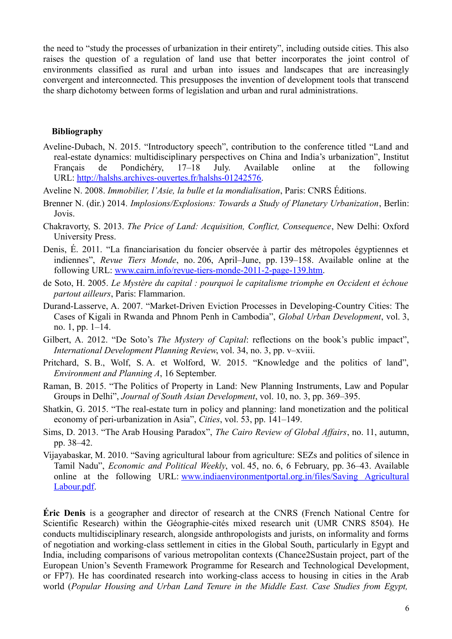the need to "study the processes of urbanization in their entirety", including outside cities. This also raises the question of a regulation of land use that better incorporates the joint control of environments classified as rural and urban into issues and landscapes that are increasingly convergent and interconnected. This presupposes the invention of development tools that transcend the sharp dichotomy between forms of legislation and urban and rural administrations.

#### **Bibliography**

- Aveline-Dubach, N. 2015. "Introductory speech", contribution to the conference titled "Land and real-estate dynamics: multidisciplinary perspectives on China and India's urbanization", Institut Français de Pondichéry, 17–18 July. Available online at the following URL: [http://halshs.archives-ouvertes.fr/halshs-01242576.](http://halshs.archives-ouvertes.fr/halshs-01242576)
- Aveline N. 2008. *Immobilier, l'Asie, la bulle et la mondialisation*, Paris: CNRS Éditions.
- Brenner N. (dir.) 2014. *Implosions/Explosions: Towards a Study of Planetary Urbanization*, Berlin: Jovis.
- Chakravorty, S. 2013. *The Price of Land: Acquisition, Conflict, Consequence*, New Delhi: Oxford University Press.
- Denis, É. 2011. "La financiarisation du foncier observée à partir des métropoles égyptiennes et indiennes", *Revue Tiers Monde*, no. 206, April–June, pp. 139–158. Available online at the following URL: [www.cairn.info/revue-tiers-monde-2011-2-page-139.htm.](http://www.cairn.info/revue-tiers-monde-2011-2-page-139.htm)
- de Soto, H. 2005. *Le Mystère du capital : pourquoi le capitalisme triomphe en Occident et échoue partout ailleurs*, Paris: Flammarion.
- Durand-Lasserve, A. 2007. "Market-Driven Eviction Processes in Developing-Country Cities: The Cases of Kigali in Rwanda and Phnom Penh in Cambodia", *Global Urban Development*, vol. 3, no. 1, pp. 1–14.
- Gilbert, A. 2012. "De Soto's *The Mystery of Capital*: reflections on the book's public impact", *International Development Planning Review*, vol. 34, no. 3, pp. v–xviii.
- Pritchard, S. B., Wolf, S. A. et Wolford, W. 2015. "Knowledge and the politics of land", *Environment and Planning A*, 16 September.
- Raman, B. 2015. "The Politics of Property in Land: New Planning Instruments, Law and Popular Groups in Delhi", *Journal of South Asian Development*, vol. 10, no. 3, pp. 369–395.
- Shatkin, G. 2015. "The real-estate turn in policy and planning: land monetization and the political economy of peri-urbanization in Asia", *Cities*, vol. 53, pp. 141–149.
- Sims, D. 2013. "The Arab Housing Paradox", *The Cairo Review of Global Affairs*, no. 11, autumn, pp. 38–42.
- Vijayabaskar, M. 2010. "Saving agricultural labour from agriculture: SEZs and politics of silence in Tamil Nadu", *Economic and Political Weekly*, vol. 45, no. 6, 6 February, pp. 36–43. Available online at the following URL: [www.indiaenvironmentportal.org.in/files/Saving Agricultural](http://www.indiaenvironmentportal.org.in/files/Saving%20Agricultural%20Labour.pdf) [Labour.pdf.](http://www.indiaenvironmentportal.org.in/files/Saving%20Agricultural%20Labour.pdf)

**Éric Denis** is a geographer and director of research at the CNRS (French National Centre for Scientific Research) within the Géographie-cités mixed research unit (UMR CNRS 8504). He conducts multidisciplinary research, alongside anthropologists and jurists, on informality and forms of negotiation and working-class settlement in cities in the Global South, particularly in Egypt and India, including comparisons of various metropolitan contexts (Chance2Sustain project, part of the European Union's Seventh Framework Programme for Research and Technological Development, or FP7). He has coordinated research into working-class access to housing in cities in the Arab world (*Popular Housing and Urban Land Tenure in the Middle East. Case Studies from Egypt,*